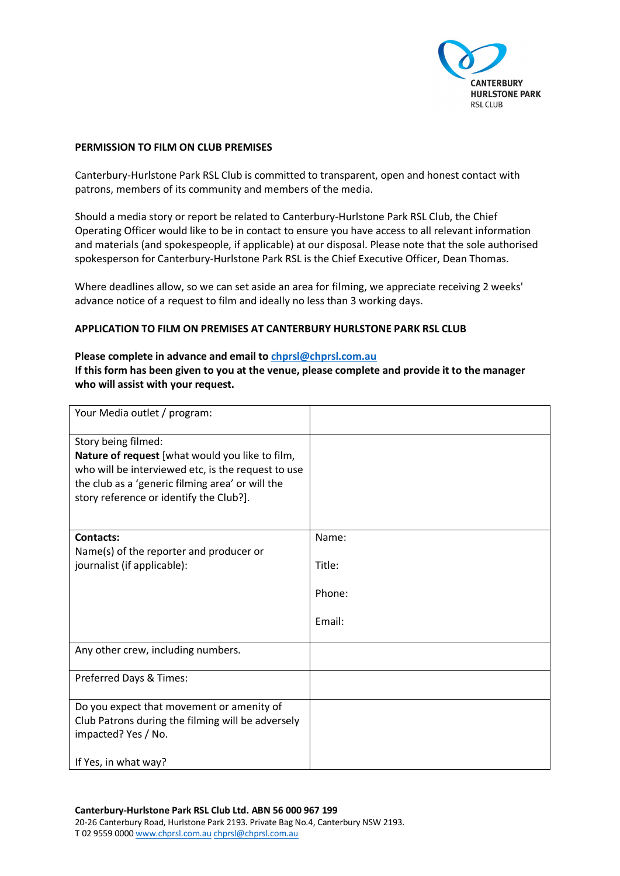

## **PERMISSION TO FILM ON CLUB PREMISES**

Canterbury-Hurlstone Park RSL Club is committed to transparent, open and honest contact with patrons, members of its community and members of the media.

Should a media story or report be related to Canterbury-Hurlstone Park RSL Club, the Chief Operating Officer would like to be in contact to ensure you have access to all relevant information and materials (and spokespeople, if applicable) at our disposal. Please note that the sole authorised spokesperson for Canterbury-Hurlstone Park RSL is the Chief Executive Officer, Dean Thomas.

Where deadlines allow, so we can set aside an area for filming, we appreciate receiving 2 weeks' advance notice of a request to film and ideally no less than 3 working days.

### **APPLICATION TO FILM ON PREMISES AT CANTERBURY HURLSTONE PARK RSL CLUB**

# **Please complete in advance and email t[o chprsl@chprsl.com.au](mailto:chprsl@chprsl.com.au) If this form has been given to you at the venue, please complete and provide it to the manager who will assist with your request.**

| Your Media outlet / program:                                                                                                                                                                                                |        |
|-----------------------------------------------------------------------------------------------------------------------------------------------------------------------------------------------------------------------------|--------|
| Story being filmed:<br>Nature of request [what would you like to film,<br>who will be interviewed etc, is the request to use<br>the club as a 'generic filming area' or will the<br>story reference or identify the Club?]. |        |
| Contacts:                                                                                                                                                                                                                   | Name:  |
| Name(s) of the reporter and producer or<br>journalist (if applicable):                                                                                                                                                      | Title: |
|                                                                                                                                                                                                                             | Phone: |
|                                                                                                                                                                                                                             | Email: |
| Any other crew, including numbers.                                                                                                                                                                                          |        |
| Preferred Days & Times:                                                                                                                                                                                                     |        |
| Do you expect that movement or amenity of<br>Club Patrons during the filming will be adversely<br>impacted? Yes / No.                                                                                                       |        |
| If Yes, in what way?                                                                                                                                                                                                        |        |